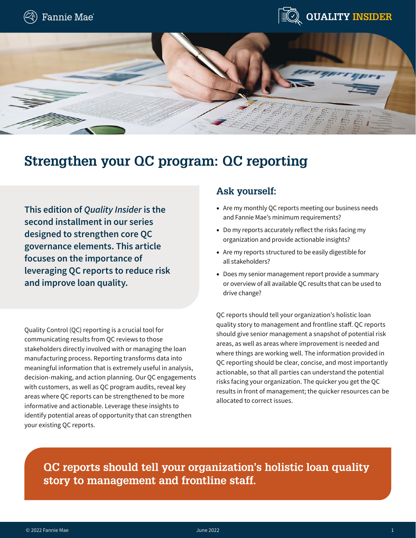

# **Strengthen your QC program: QC reporting**

**This edition of** *Quality Insider* **is the second installment in our series designed to strengthen core QC governance elements. This article focuses on the importance of leveraging QC reports to reduce risk and improve loan quality.**

Quality Control (QC) reporting is a crucial tool for communicating results from QC reviews to those stakeholders directly involved with or managing the loan manufacturing process. Reporting transforms data into meaningful information that is extremely useful in analysis, decision-making, and action planning. Our QC engagements with customers, as well as QC program audits, reveal key areas where QC reports can be strengthened to be more informative and actionable. Leverage these insights to identify potential areas of opportunity that can strengthen your existing QC reports.

### **Ask yourself:**

- Are my monthly QC reports meeting our business needs and Fannie Mae's minimum requirements?
- Do my reports accurately reflect the risks facing my organization and provide actionable insights?
- Are my reports structured to be easily digestible for all stakeholders?
- Does my senior management report provide a summary or overview of all available QC results that can be used to drive change?

QC reports should tell your organization's holistic loan quality story to management and frontline staff. QC reports should give senior management a snapshot of potential risk areas, as well as areas where improvement is needed and where things are working well. The information provided in QC reporting should be clear, concise, and most importantly actionable, so that all parties can understand the potential risks facing your organization. The quicker you get the QC results in front of management; the quicker resources can be allocated to correct issues.

**QC reports should tell your organization's holistic loan quality story to management and frontline staff.**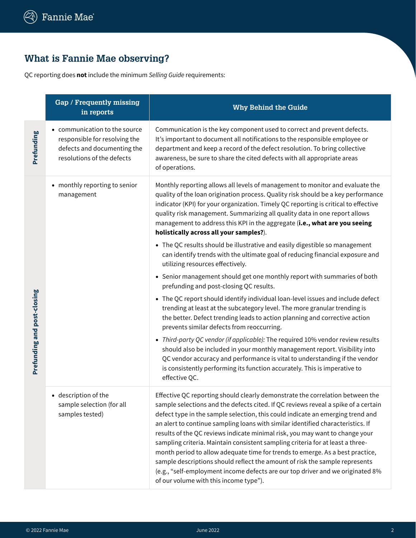## **What is Fannie Mae observing?**

QC reporting does **not** include the minimum *Selling Guide* requirements:

|                             | Gap / Frequently missing<br>in reports                                                                                      | <b>Why Behind the Guide</b>                                                                                                                                                                                                                                                                                                                                                                                                                                                                                                                                                                                                                                                                                                                                                                            |
|-----------------------------|-----------------------------------------------------------------------------------------------------------------------------|--------------------------------------------------------------------------------------------------------------------------------------------------------------------------------------------------------------------------------------------------------------------------------------------------------------------------------------------------------------------------------------------------------------------------------------------------------------------------------------------------------------------------------------------------------------------------------------------------------------------------------------------------------------------------------------------------------------------------------------------------------------------------------------------------------|
| Prefunding                  | • communication to the source<br>responsible for resolving the<br>defects and documenting the<br>resolutions of the defects | Communication is the key component used to correct and prevent defects.<br>It's important to document all notifications to the responsible employee or<br>department and keep a record of the defect resolution. To bring collective<br>awareness, be sure to share the cited defects with all appropriate areas<br>of operations.                                                                                                                                                                                                                                                                                                                                                                                                                                                                     |
|                             | • monthly reporting to senior<br>management                                                                                 | Monthly reporting allows all levels of management to monitor and evaluate the<br>quality of the loan origination process. Quality risk should be a key performance<br>indicator (KPI) for your organization. Timely QC reporting is critical to effective<br>quality risk management. Summarizing all quality data in one report allows<br>management to address this KPI in the aggregate (i.e., what are you seeing<br>holistically across all your samples?).                                                                                                                                                                                                                                                                                                                                       |
|                             |                                                                                                                             | • The QC results should be illustrative and easily digestible so management<br>can identify trends with the ultimate goal of reducing financial exposure and<br>utilizing resources effectively.                                                                                                                                                                                                                                                                                                                                                                                                                                                                                                                                                                                                       |
|                             |                                                                                                                             | • Senior management should get one monthly report with summaries of both<br>prefunding and post-closing QC results.                                                                                                                                                                                                                                                                                                                                                                                                                                                                                                                                                                                                                                                                                    |
| Prefunding and post-closing |                                                                                                                             | • The QC report should identify individual loan-level issues and include defect<br>trending at least at the subcategory level. The more granular trending is<br>the better. Defect trending leads to action planning and corrective action<br>prevents similar defects from reoccurring.                                                                                                                                                                                                                                                                                                                                                                                                                                                                                                               |
|                             |                                                                                                                             | • Third-party QC vendor (if applicable): The required 10% vendor review results<br>should also be included in your monthly management report. Visibility into<br>QC vendor accuracy and performance is vital to understanding if the vendor<br>is consistently performing its function accurately. This is imperative to<br>effective QC.                                                                                                                                                                                                                                                                                                                                                                                                                                                              |
|                             | • description of the<br>sample selection (for all<br>samples tested)                                                        | Effective QC reporting should clearly demonstrate the correlation between the<br>sample selections and the defects cited. If QC reviews reveal a spike of a certain<br>defect type in the sample selection, this could indicate an emerging trend and<br>an alert to continue sampling loans with similar identified characteristics. If<br>results of the QC reviews indicate minimal risk, you may want to change your<br>sampling criteria. Maintain consistent sampling criteria for at least a three-<br>month period to allow adequate time for trends to emerge. As a best practice,<br>sample descriptions should reflect the amount of risk the sample represents<br>(e.g., "self-employment income defects are our top driver and we originated 8%<br>of our volume with this income type"). |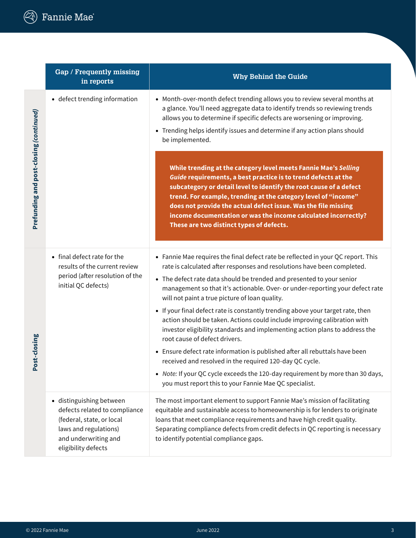|                                         | <b>Gap / Frequently missing</b><br>in reports                                                                                                                  | <b>Why Behind the Guide</b>                                                                                                                                                                                                                                                                                                                                                                                                                                                                                                                                                                                                                                                                                                                                                                                                                                                                                                                  |
|-----------------------------------------|----------------------------------------------------------------------------------------------------------------------------------------------------------------|----------------------------------------------------------------------------------------------------------------------------------------------------------------------------------------------------------------------------------------------------------------------------------------------------------------------------------------------------------------------------------------------------------------------------------------------------------------------------------------------------------------------------------------------------------------------------------------------------------------------------------------------------------------------------------------------------------------------------------------------------------------------------------------------------------------------------------------------------------------------------------------------------------------------------------------------|
| Prefunding and post-closing (continued) | • defect trending information                                                                                                                                  | • Month-over-month defect trending allows you to review several months at<br>a glance. You'll need aggregate data to identify trends so reviewing trends<br>allows you to determine if specific defects are worsening or improving.<br>Trending helps identify issues and determine if any action plans should<br>be implemented.                                                                                                                                                                                                                                                                                                                                                                                                                                                                                                                                                                                                            |
|                                         |                                                                                                                                                                | While trending at the category level meets Fannie Mae's Selling<br>Guide requirements, a best practice is to trend defects at the<br>subcategory or detail level to identify the root cause of a defect<br>trend. For example, trending at the category level of "income"<br>does not provide the actual defect issue. Was the file missing<br>income documentation or was the income calculated incorrectly?<br>These are two distinct types of defects.                                                                                                                                                                                                                                                                                                                                                                                                                                                                                    |
| Post-closing                            | • final defect rate for the<br>results of the current review<br>period (after resolution of the<br>initial QC defects)                                         | • Fannie Mae requires the final defect rate be reflected in your QC report. This<br>rate is calculated after responses and resolutions have been completed.<br>• The defect rate data should be trended and presented to your senior<br>management so that it's actionable. Over- or under-reporting your defect rate<br>will not paint a true picture of loan quality.<br>• If your final defect rate is constantly trending above your target rate, then<br>action should be taken. Actions could include improving calibration with<br>investor eligibility standards and implementing action plans to address the<br>root cause of defect drivers.<br>• Ensure defect rate information is published after all rebuttals have been<br>received and resolved in the required 120-day QC cycle.<br>• Note: If your QC cycle exceeds the 120-day requirement by more than 30 days,<br>you must report this to your Fannie Mae QC specialist. |
|                                         | · distinguishing between<br>defects related to compliance<br>(federal, state, or local<br>laws and regulations)<br>and underwriting and<br>eligibility defects | The most important element to support Fannie Mae's mission of facilitating<br>equitable and sustainable access to homeownership is for lenders to originate<br>loans that meet compliance requirements and have high credit quality.<br>Separating compliance defects from credit defects in QC reporting is necessary<br>to identify potential compliance gaps.                                                                                                                                                                                                                                                                                                                                                                                                                                                                                                                                                                             |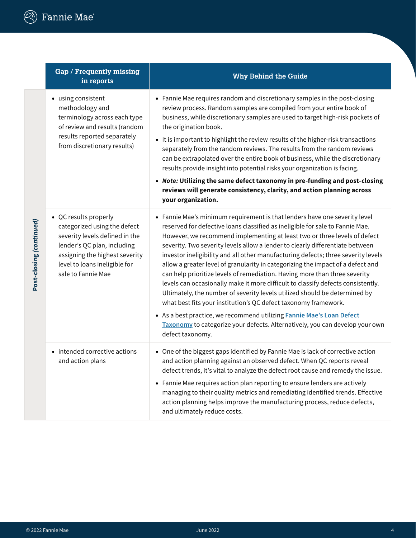|                          | Gap / Frequently missing<br>in reports                                                                                                                                                                          | <b>Why Behind the Guide</b>                                                                                                                                                                                                                                                                                                                                                                                                                                                                                                                                                                                                                                                                                                                                                                                                                                                                                                                                                                       |
|--------------------------|-----------------------------------------------------------------------------------------------------------------------------------------------------------------------------------------------------------------|---------------------------------------------------------------------------------------------------------------------------------------------------------------------------------------------------------------------------------------------------------------------------------------------------------------------------------------------------------------------------------------------------------------------------------------------------------------------------------------------------------------------------------------------------------------------------------------------------------------------------------------------------------------------------------------------------------------------------------------------------------------------------------------------------------------------------------------------------------------------------------------------------------------------------------------------------------------------------------------------------|
| Post-closing (continued) | • using consistent<br>methodology and<br>terminology across each type<br>of review and results (random<br>results reported separately<br>from discretionary results)                                            | • Fannie Mae requires random and discretionary samples in the post-closing<br>review process. Random samples are compiled from your entire book of<br>business, while discretionary samples are used to target high-risk pockets of<br>the origination book.<br>• It is important to highlight the review results of the higher-risk transactions<br>separately from the random reviews. The results from the random reviews<br>can be extrapolated over the entire book of business, while the discretionary<br>results provide insight into potential risks your organization is facing.<br>• Note: Utilizing the same defect taxonomy in pre-funding and post-closing<br>reviews will generate consistency, clarity, and action planning across<br>your organization.                                                                                                                                                                                                                          |
|                          | • QC results properly<br>categorized using the defect<br>severity levels defined in the<br>lender's QC plan, including<br>assigning the highest severity<br>level to loans ineligible for<br>sale to Fannie Mae | • Fannie Mae's minimum requirement is that lenders have one severity level<br>reserved for defective loans classified as ineligible for sale to Fannie Mae.<br>However, we recommend implementing at least two or three levels of defect<br>severity. Two severity levels allow a lender to clearly differentiate between<br>investor ineligibility and all other manufacturing defects; three severity levels<br>allow a greater level of granularity in categorizing the impact of a defect and<br>can help prioritize levels of remediation. Having more than three severity<br>levels can occasionally make it more difficult to classify defects consistently.<br>Ultimately, the number of severity levels utilized should be determined by<br>what best fits your institution's QC defect taxonomy framework.<br>• As a best practice, we recommend utilizing Fannie Mae's Loan Defect<br>Taxonomy to categorize your defects. Alternatively, you can develop your own<br>defect taxonomy. |
|                          | • intended corrective actions<br>and action plans                                                                                                                                                               | • One of the biggest gaps identified by Fannie Mae is lack of corrective action<br>and action planning against an observed defect. When QC reports reveal<br>defect trends, it's vital to analyze the defect root cause and remedy the issue.<br>• Fannie Mae requires action plan reporting to ensure lenders are actively<br>managing to their quality metrics and remediating identified trends. Effective<br>action planning helps improve the manufacturing process, reduce defects,<br>and ultimately reduce costs.                                                                                                                                                                                                                                                                                                                                                                                                                                                                         |